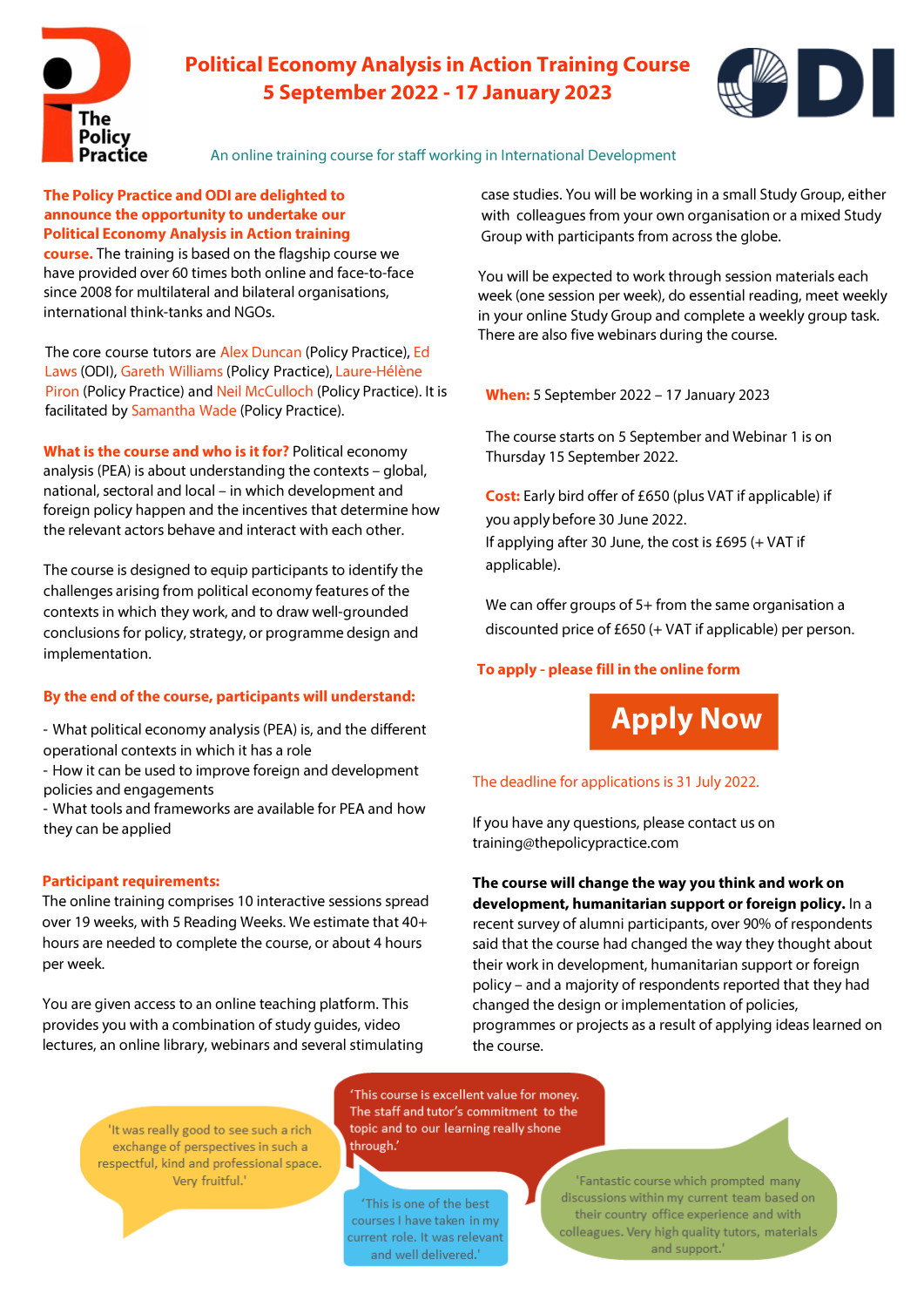

# **Political Economy Analysis in Action Training Course 5 September 2022 - 17 January 2023**



An online training course for staff working in International Development

# **The Policy Practice and ODI are delighted to announce the opportunity to undertake our Political Economy Analysis in Action training**

**course.** The training is based on the flagship course we have provided over 60 times both online and face-to-face since 2008 for multilateral and bilateral organisations, international think-tanks and NGOs.

The core course tutors ar[e Alex Duncan](https://www.thepolicypractice.com/alex-duncan) (Policy Practice), [Ed](https://odi.org/en/profile/ed-laws/#:~:text=Ed%20joined%20ODI%20in%20February,economy%20and%20political%20settlements%20analysis.)  Laws (ODI)[, Gareth Williams](https://www.thepolicypractice.com/gareth-williams) (Policy Practice), Laure-Hélène Piron (Policy Practice) and [Neil McCulloch](https://www.thepolicypractice.com/neil-mcculloch) (Policy Practice). It is facilitated b[y Samantha Wade](https://www.thepolicypractice.com/samantha-wade) (Policy Practice).

**What is the course and who is it for?** Political economy analysis (PEA) is about understanding the contexts  $-$  global, national, sectoral and local - in which development and foreign policy happen and the incentives that determine how the relevant actors behave and interact with each other.

The course is designed to equip participants to identify the challenges arising from political economy features of the contexts in which they work, and to draw well-grounded conclusions for policy, strategy, or programme design and implementation.

# **By the end of the course, participants will understand:**

- What political economy analysis (PEA) is, and the different operational contexts in which it has a role

- How it can be used to improve foreign and development policies and engagements

- What tools and frameworks are available for PEA and how they can be applied

# **Participant requirements:**

The online training comprises 10 interactive sessions spread over 19 weeks, with 5 Reading Weeks. We estimate that 40+ hours are needed to complete the course, or about 4 hours per week.

You are given access to an online teaching platform. This provides you with a combination of study guides, video lectures, an online library, webinars and several stimulating

> 'It was really good to see such a rich exchange of perspectives in such a respectful, kind and professional space. Very fruitful.'

'This course is excellent value for money. The staff and tutor's commitment to the topic and to our learning really shone through.'

'This is one of the best courses I have taken in my current role. It was relevant and well delivered."

case studies. You will be working in a small Study Group, either with colleagues from your own organisation or a mixed Study Group with participants from across the globe.

You will be expected to work through session materials each week (one session per week), do essential reading, meet weekly in your online Study Group and complete a weekly group task. There are also five webinars during the course.

**When:** 5 September 2022 - 17 January 2023

The course starts on 5 September and Webinar 1 is on Thursday 15 September 2022.

**Cost:** Early bird offer of £650 (plus VAT if applicable) if you apply before 30 June 2022. If applying after 30 June, the cost is £695 (+ VAT if applicable).

We can offer groups of 5+ from the same organisation a discounted price of £650 (+ VAT if applicable) per person.

# **To apply - please fill in the online form**

**[Apply Now](https://share.hsforms.com/18Q3Og8wYR9GUvPGeX9r-ew473j2)**

# The deadline for applications is 31 July 2022.

If you have any questions, please contact us on training@thepolicypractice.com

**The course will change the way you think and work on development, humanitarian support or foreign policy.** In a recent survey of alumni participants, over 90% of respondents said that the course had changed the way they thought about their work in development, humanitarian support or foreign policy- and a majority of respondents reported that they had changed the design or implementation of policies, programmes or projects as a result of applying ideas learned on the course.

> Fantastic course which prompted many discussions within my current team based on their country office experience and with colleagues. Very high quality tutors, materials and support.'